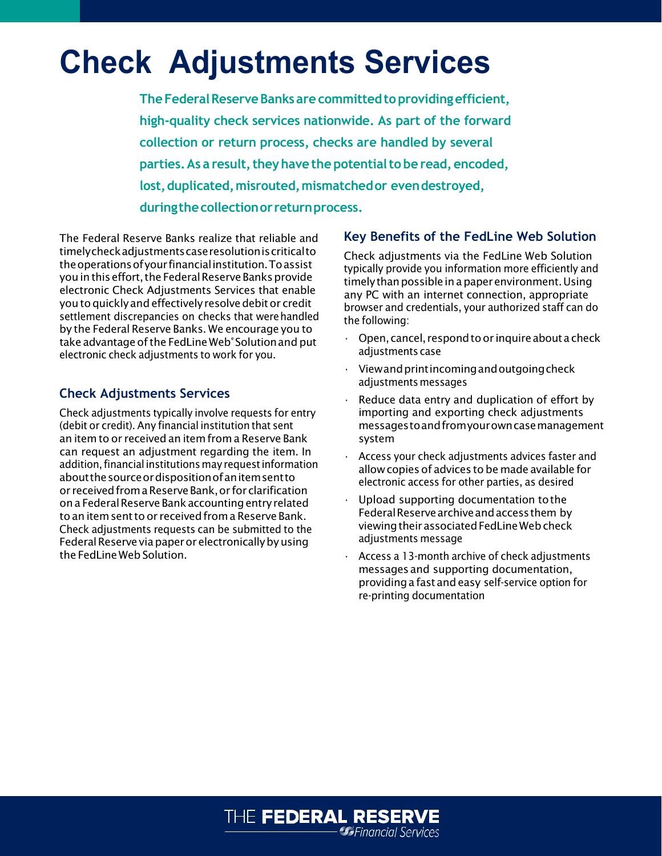# **Check Adjustments Services**

**TheFederalReserveBanksare committedtoprovidingefficient, high-quality check services nationwide. As part of the forward collection or return process, checks are handled by several parties.** As a result, they have the potential to be read, encoded, **lost,duplicated,misrouted,mismatchedor evendestroyed, duringthecollectionor returnprocess.**

The Federal Reserve Banks realize that reliable and timelycheckadjustmentscaseresolutioniscriticalto theoperationsofyourfinancialinstitution.Toassist you in this effort, the Federal Reserve Banks provide electronic Check Adjustments Services that enable you to quickly and effectively resolve debit or credit settlement discrepancies on checks that were handled by the Federal Reserve Banks. We encourage you to take advantage of the FedLine Web<sup>®</sup> Solution and put electronic check adjustments to work for you.

### **Check Adjustments Services**

Check adjustments typically involve requests for entry (debit or credit). Any financial institution that sent an itemto or received an item from a Reserve Bank can request an adjustment regarding the item. In addition, financial institutions may request information aboutthesourceordispositionofanitemsentto or receivedfrom a ReserveBank,or for clarification on a Federal Reserve Bank accounting entry related to an item sent to or received from a Reserve Bank. Check adjustments requests can be submitted to the Federal Reserve via paper or electronically by using the FedLine Web Solution.

#### **Key Benefits of the FedLine Web Solution**

Check adjustments via the FedLine Web Solution typically provide you information more efficiently and timely than possible in a paper environment. Using any PC with an internet connection, appropriate browser and credentials, your authorized staff can do the following:

- Open, cancel, respond to or inquire about a check adjustments case
- Viewandprintincomingandoutgoingcheck adjustments messages
- Reduce data entry and duplication of effort by importing and exporting check adjustments messagestoandfromyourowncasemanagement system
- Access your check adjustments advices faster and allowcopies of advices to be made available for electronic access for other parties, as desired
- Upload supporting documentation to the Federal Reserve archive and access them by viewing their associated FedLine Web check adjustments message
- Access a 13-month archive of check adjustments messagesand supporting documentation, providing a fastandeasy self-service option for re-printing documentation

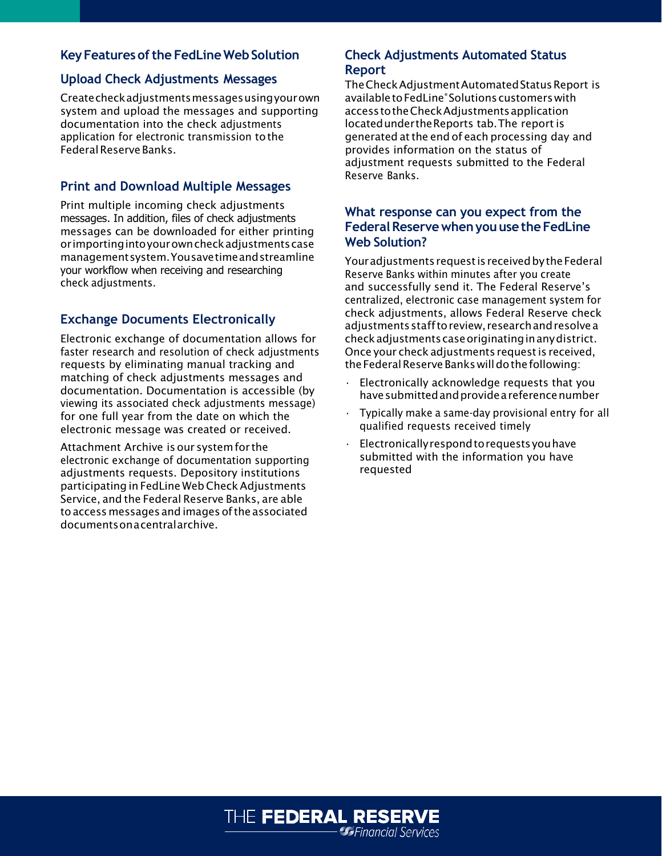## **Key Features of the FedLine Web Solution**

#### **Upload Check Adjustments Messages**

Createcheckadjustmentsmessagesusingyourown system and upload the messages and supporting documentation into the check adjustments application for electronic transmission tothe Federal Reserve Banks.

## **Print and Download Multiple Messages**

Print multiple incoming check adjustments messages. In addition, files of check adjustments messages can be downloaded for either printing orimportingintoyourowncheckadjustmentscase managementsystem.Yousavetimeandstreamline your workflow when receiving and researching check adjustments.

## **Exchange Documents Electronically**

Electronic exchange of documentation allows for faster research and resolution of check adjustments requests by eliminating manual tracking and matching of check adjustments messages and documentation. Documentation is accessible (by viewing its associated check adjustments message) for one full year from the date on which the electronic message was created or received.

Attachment Archive is our system for the electronic exchange of documentation supporting adjustments requests. Depository institutions participating in FedLine Web CheckAdjustments Service, and the Federal Reserve Banks, are able toaccessmessages andimagesofthe associated documentson a centralarchive.

#### **Check Adjustments Automated Status Report**

TheCheckAdjustmentAutomatedStatusReport is availabletoFedLine® Solutionscustomerswith accesstotheCheckAdjustmentsapplication locatedundertheReports tab. The report is generated atthe end of each processing day and provides information on the status of adjustment requests submitted to the Federal Reserve Banks.

#### **What response can you expect from the FederalReservewhenyouusetheFedLine Web Solution?**

Your adjustments request is received by the Federal Reserve Banks within minutes after you create and successfully send it. The Federal Reserve's centralized, electronic case management system for check adjustments, allows Federal Reserve check adjustmentsstafftoreview, researchandresolvea checkadjustmentscaseoriginatinginanydistrict. Once your check adjustments requestis received, the Federal Reserve Banks will do the following:

- Electronically acknowledge requests that you have submitted and provide a reference number
- Typically make a same-day provisional entry for all qualified requests received timely
- Electronicallyrespondtorequestsyouhave submitted with the information you have requested